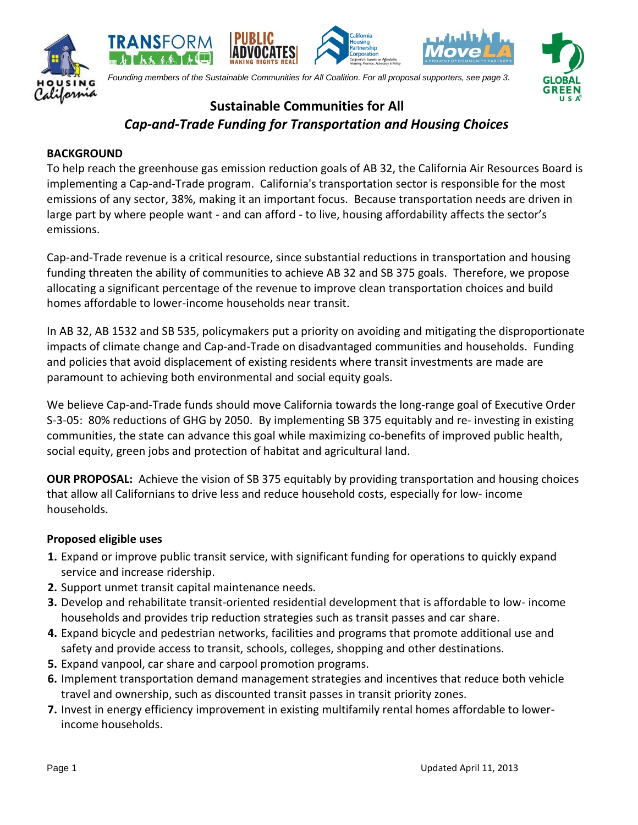





# **Sustainable Communities for All** *Cap-and-Trade Funding for Transportation and Housing Choices*

#### **BACKGROUND**

To help reach the greenhouse gas emission reduction goals of AB 32, the California Air Resources Board is implementing a Cap-and-Trade program. California's transportation sector is responsible for the most emissions of any sector, 38%, making it an important focus. Because transportation needs are driven in large part by where people want - and can afford - to live, housing affordability affects the sector's emissions.

Cap-and-Trade revenue is a critical resource, since substantial reductions in transportation and housing funding threaten the ability of communities to achieve AB 32 and SB 375 goals. Therefore, we propose allocating a significant percentage of the revenue to improve clean transportation choices and build homes affordable to lower-income households near transit.

In AB 32, AB 1532 and SB 535, policymakers put a priority on avoiding and mitigating the disproportionate impacts of climate change and Cap-and-Trade on disadvantaged communities and households. Funding and policies that avoid displacement of existing residents where transit investments are made are paramount to achieving both environmental and social equity goals.

We believe Cap-and-Trade funds should move California towards the long-range goal of Executive Order S-3-05: 80% reductions of GHG by 2050. By implementing SB 375 equitably and re- investing in existing communities, the state can advance this goal while maximizing co-benefits of improved public health, social equity, green jobs and protection of habitat and agricultural land.

**OUR PROPOSAL:** Achieve the vision of SB 375 equitably by providing transportation and housing choices that allow all Californians to drive less and reduce household costs, especially for low- income households.

#### **Proposed eligible uses**

- **1.** Expand or improve public transit service, with significant funding for operations to quickly expand service and increase ridership.
- **2.** Support unmet transit capital maintenance needs.
- **3.** Develop and rehabilitate transit-oriented residential development that is affordable to low- income households and provides trip reduction strategies such as transit passes and car share.
- **4.** Expand bicycle and pedestrian networks, facilities and programs that promote additional use and safety and provide access to transit, schools, colleges, shopping and other destinations.
- **5.** Expand vanpool, car share and carpool promotion programs.
- **6.** Implement transportation demand management strategies and incentives that reduce both vehicle travel and ownership, such as discounted transit passes in transit priority zones.
- **7.** Invest in energy efficiency improvement in existing multifamily rental homes affordable to lowerincome households.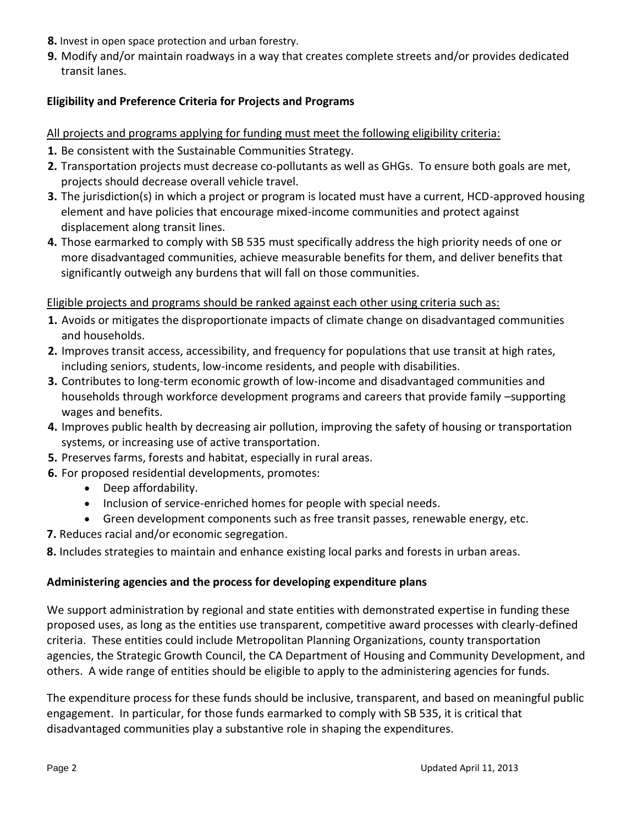- **8.** Invest in open space protection and urban forestry.
- **9.** Modify and/or maintain roadways in a way that creates complete streets and/or provides dedicated transit lanes.

# **Eligibility and Preference Criteria for Projects and Programs**

### All projects and programs applying for funding must meet the following eligibility criteria:

- **1.** Be consistent with the Sustainable Communities Strategy.
- **2.** Transportation projects must decrease co-pollutants as well as GHGs. To ensure both goals are met, projects should decrease overall vehicle travel.
- **3.** The jurisdiction(s) in which a project or program is located must have a current, HCD-approved housing element and have policies that encourage mixed-income communities and protect against displacement along transit lines.
- **4.** Those earmarked to comply with SB 535 must specifically address the high priority needs of one or more disadvantaged communities, achieve measurable benefits for them, and deliver benefits that significantly outweigh any burdens that will fall on those communities.

# Eligible projects and programs should be ranked against each other using criteria such as:

- **1.** Avoids or mitigates the disproportionate impacts of climate change on disadvantaged communities and households.
- **2.** Improves transit access, accessibility, and frequency for populations that use transit at high rates, including seniors, students, low-income residents, and people with disabilities.
- **3.** Contributes to long-term economic growth of low-income and disadvantaged communities and households through workforce development programs and careers that provide family –supporting wages and benefits.
- **4.** Improves public health by decreasing air pollution, improving the safety of housing or transportation systems, or increasing use of active transportation.
- **5.** Preserves farms, forests and habitat, especially in rural areas.
- **6.** For proposed residential developments, promotes:
	- Deep affordability.
	- Inclusion of service-enriched homes for people with special needs.
	- Green development components such as free transit passes, renewable energy, etc.
- **7.** Reduces racial and/or economic segregation.

**8.** Includes strategies to maintain and enhance existing local parks and forests in urban areas.

#### **Administering agencies and the process for developing expenditure plans**

We support administration by regional and state entities with demonstrated expertise in funding these proposed uses, as long as the entities use transparent, competitive award processes with clearly-defined criteria. These entities could include Metropolitan Planning Organizations, county transportation agencies, the Strategic Growth Council, the CA Department of Housing and Community Development, and others. A wide range of entities should be eligible to apply to the administering agencies for funds.

The expenditure process for these funds should be inclusive, transparent, and based on meaningful public engagement. In particular, for those funds earmarked to comply with SB 535, it is critical that disadvantaged communities play a substantive role in shaping the expenditures.